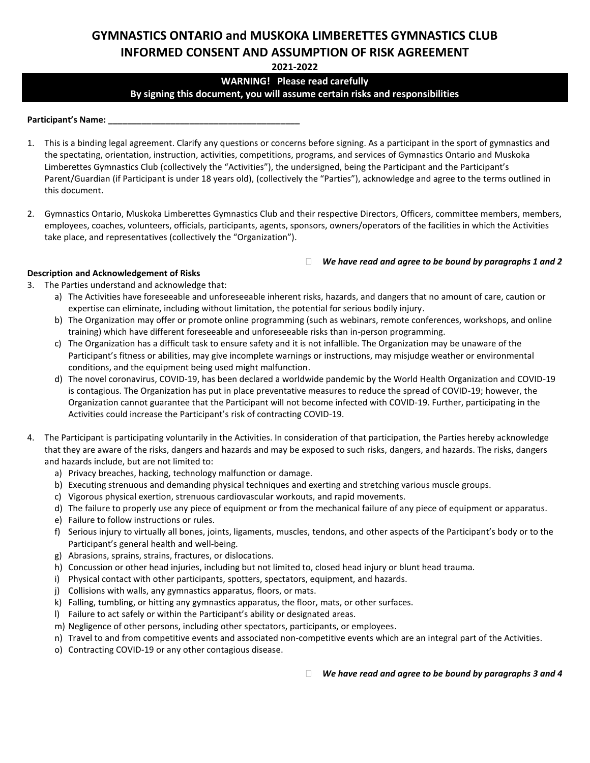# **GYMNASTICS ONTARIO and MUSKOKA LIMBERETTES GYMNASTICS CLUB INFORMED CONSENT AND ASSUMPTION OF RISK AGREEMENT**

**2021-2022**

# **WARNING! Please read carefully By signing this document, you will assume certain risks and responsibilities**

**Participant's Name: \_\_\_\_\_\_\_\_\_\_\_\_\_\_\_\_\_\_\_\_\_\_\_\_\_\_\_\_\_\_\_\_\_\_\_\_\_\_\_\_**

- 1. This is a binding legal agreement. Clarify any questions or concerns before signing. As a participant in the sport of gymnastics and the spectating, orientation, instruction, activities, competitions, programs, and services of Gymnastics Ontario and Muskoka Limberettes Gymnastics Club (collectively the "Activities"), the undersigned, being the Participant and the Participant's Parent/Guardian (if Participant is under 18 years old), (collectively the "Parties"), acknowledge and agree to the terms outlined in this document.
- 2. Gymnastics Ontario, Muskoka Limberettes Gymnastics Club and their respective Directors, Officers, committee members, members, employees, coaches, volunteers, officials, participants, agents, sponsors, owners/operators of the facilities in which the Activities take place, and representatives (collectively the "Organization").

#### *We have read and agree to be bound by paragraphs 1 and 2*

#### **Description and Acknowledgement of Risks**

- 3. The Parties understand and acknowledge that:
	- a) The Activities have foreseeable and unforeseeable inherent risks, hazards, and dangers that no amount of care, caution or expertise can eliminate, including without limitation, the potential for serious bodily injury.
	- b) The Organization may offer or promote online programming (such as webinars, remote conferences, workshops, and online training) which have different foreseeable and unforeseeable risks than in-person programming.
	- c) The Organization has a difficult task to ensure safety and it is not infallible. The Organization may be unaware of the Participant's fitness or abilities, may give incomplete warnings or instructions, may misjudge weather or environmental conditions, and the equipment being used might malfunction.
	- d) The novel coronavirus, COVID-19, has been declared a worldwide pandemic by the World Health Organization and COVID-19 is contagious. The Organization has put in place preventative measures to reduce the spread of COVID-19; however, the Organization cannot guarantee that the Participant will not become infected with COVID-19. Further, participating in the Activities could increase the Participant's risk of contracting COVID-19.
- 4. The Participant is participating voluntarily in the Activities. In consideration of that participation, the Parties hereby acknowledge that they are aware of the risks, dangers and hazards and may be exposed to such risks, dangers, and hazards. The risks, dangers and hazards include, but are not limited to:
	- a) Privacy breaches, hacking, technology malfunction or damage.
	- b) Executing strenuous and demanding physical techniques and exerting and stretching various muscle groups.
	- c) Vigorous physical exertion, strenuous cardiovascular workouts, and rapid movements.
	- d) The failure to properly use any piece of equipment or from the mechanical failure of any piece of equipment or apparatus.
	- e) Failure to follow instructions or rules.
	- f) Serious injury to virtually all bones, joints, ligaments, muscles, tendons, and other aspects of the Participant's body or to the Participant's general health and well-being.
	- g) Abrasions, sprains, strains, fractures, or dislocations.
	- h) Concussion or other head injuries, including but not limited to, closed head injury or blunt head trauma.
	- i) Physical contact with other participants, spotters, spectators, equipment, and hazards.
	- j) Collisions with walls, any gymnastics apparatus, floors, or mats.
	- k) Falling, tumbling, or hitting any gymnastics apparatus, the floor, mats, or other surfaces.
	- l) Failure to act safely or within the Participant's ability or designated areas.
	- m) Negligence of other persons, including other spectators, participants, or employees.
	- n) Travel to and from competitive events and associated non-competitive events which are an integral part of the Activities.
	- o) Contracting COVID-19 or any other contagious disease.

*We have read and agree to be bound by paragraphs 3 and 4*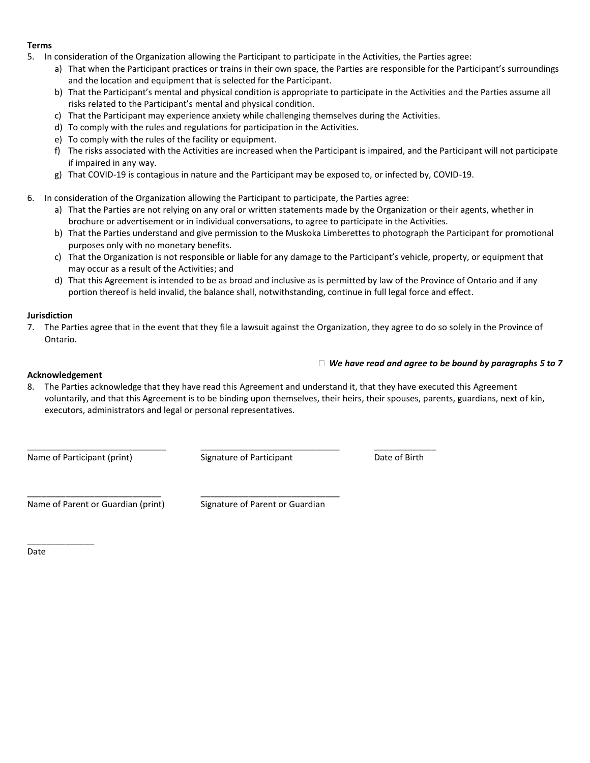## **Terms**

- 5. In consideration of the Organization allowing the Participant to participate in the Activities, the Parties agree:
	- a) That when the Participant practices or trains in their own space, the Parties are responsible for the Participant's surroundings and the location and equipment that is selected for the Participant.
	- b) That the Participant's mental and physical condition is appropriate to participate in the Activities and the Parties assume all risks related to the Participant's mental and physical condition.
	- c) That the Participant may experience anxiety while challenging themselves during the Activities.
	- d) To comply with the rules and regulations for participation in the Activities.
	- e) To comply with the rules of the facility or equipment.
	- f) The risks associated with the Activities are increased when the Participant is impaired, and the Participant will not participate if impaired in any way.
	- g) That COVID-19 is contagious in nature and the Participant may be exposed to, or infected by, COVID-19.
- 6. In consideration of the Organization allowing the Participant to participate, the Parties agree:
	- a) That the Parties are not relying on any oral or written statements made by the Organization or their agents, whether in brochure or advertisement or in individual conversations, to agree to participate in the Activities.
	- b) That the Parties understand and give permission to the Muskoka Limberettes to photograph the Participant for promotional purposes only with no monetary benefits.
	- c) That the Organization is not responsible or liable for any damage to the Participant's vehicle, property, or equipment that may occur as a result of the Activities; and
	- d) That this Agreement is intended to be as broad and inclusive as is permitted by law of the Province of Ontario and if any portion thereof is held invalid, the balance shall, notwithstanding, continue in full legal force and effect.

#### **Jurisdiction**

7. The Parties agree that in the event that they file a lawsuit against the Organization, they agree to do so solely in the Province of Ontario.

### *We have read and agree to be bound by paragraphs 5 to 7*

#### **Acknowledgement**

8. The Parties acknowledge that they have read this Agreement and understand it, that they have executed this Agreement voluntarily, and that this Agreement is to be binding upon themselves, their heirs, their spouses, parents, guardians, next of kin, executors, administrators and legal or personal representatives.

Name of Participant (print) Signature of Participant Date of Birth

\_\_\_\_\_\_\_\_\_\_\_\_\_\_\_\_\_\_\_\_\_\_\_\_\_\_\_\_\_ \_\_\_\_\_\_\_\_\_\_\_\_\_\_\_\_\_\_\_\_\_\_\_\_\_\_\_\_\_ \_\_\_\_\_\_\_\_\_\_\_\_\_

\_\_\_\_\_\_\_\_\_\_\_\_\_\_\_\_\_\_\_\_\_\_\_\_\_\_\_\_ \_\_\_\_\_\_\_\_\_\_\_\_\_\_\_\_\_\_\_\_\_\_\_\_\_\_\_\_\_ Name of Parent or Guardian (print) Signature of Parent or Guardian

Date

\_\_\_\_\_\_\_\_\_\_\_\_\_\_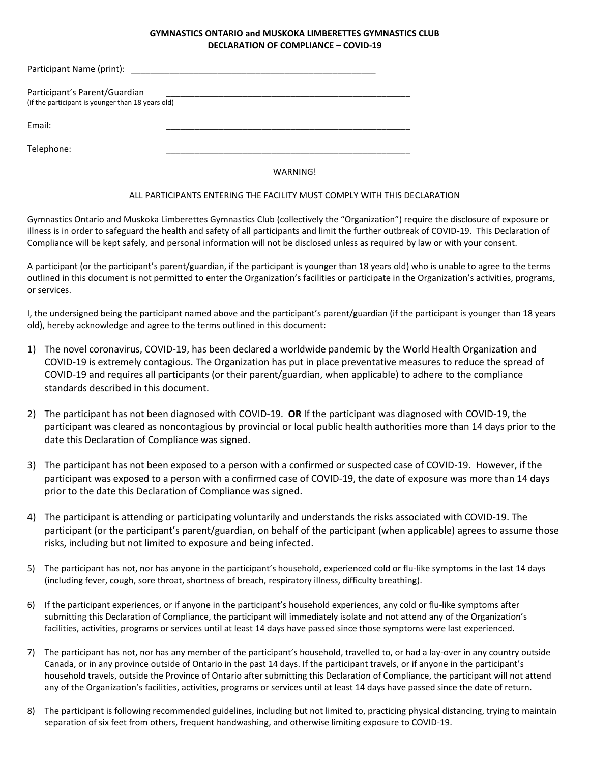#### **GYMNASTICS ONTARIO and MUSKOKA LIMBERETTES GYMNASTICS CLUB DECLARATION OF COMPLIANCE – COVID-19**

| Participant Name (print):                                                          |  |
|------------------------------------------------------------------------------------|--|
| Participant's Parent/Guardian<br>(if the participant is younger than 18 years old) |  |
| Email:                                                                             |  |
| Telephone:                                                                         |  |

WARNING!

#### ALL PARTICIPANTS ENTERING THE FACILITY MUST COMPLY WITH THIS DECLARATION

Gymnastics Ontario and Muskoka Limberettes Gymnastics Club (collectively the "Organization") require the disclosure of exposure or illness is in order to safeguard the health and safety of all participants and limit the further outbreak of COVID-19. This Declaration of Compliance will be kept safely, and personal information will not be disclosed unless as required by law or with your consent.

A participant (or the participant's parent/guardian, if the participant is younger than 18 years old) who is unable to agree to the terms outlined in this document is not permitted to enter the Organization's facilities or participate in the Organization's activities, programs, or services.

I, the undersigned being the participant named above and the participant's parent/guardian (if the participant is younger than 18 years old), hereby acknowledge and agree to the terms outlined in this document:

- 1) The novel coronavirus, COVID-19, has been declared a worldwide pandemic by the World Health Organization and COVID-19 is extremely contagious. The Organization has put in place preventative measures to reduce the spread of COVID-19 and requires all participants (or their parent/guardian, when applicable) to adhere to the compliance standards described in this document.
- 2) The participant has not been diagnosed with COVID-19. **OR** If the participant was diagnosed with COVID-19, the participant was cleared as noncontagious by provincial or local public health authorities more than 14 days prior to the date this Declaration of Compliance was signed.
- 3) The participant has not been exposed to a person with a confirmed or suspected case of COVID-19. However, if the participant was exposed to a person with a confirmed case of COVID-19, the date of exposure was more than 14 days prior to the date this Declaration of Compliance was signed.
- 4) The participant is attending or participating voluntarily and understands the risks associated with COVID-19. The participant (or the participant's parent/guardian, on behalf of the participant (when applicable) agrees to assume those risks, including but not limited to exposure and being infected.
- 5) The participant has not, nor has anyone in the participant's household, experienced cold or flu-like symptoms in the last 14 days (including fever, cough, sore throat, shortness of breach, respiratory illness, difficulty breathing).
- 6) If the participant experiences, or if anyone in the participant's household experiences, any cold or flu-like symptoms after submitting this Declaration of Compliance, the participant will immediately isolate and not attend any of the Organization's facilities, activities, programs or services until at least 14 days have passed since those symptoms were last experienced.
- 7) The participant has not, nor has any member of the participant's household, travelled to, or had a lay-over in any country outside Canada, or in any province outside of Ontario in the past 14 days. If the participant travels, or if anyone in the participant's household travels, outside the Province of Ontario after submitting this Declaration of Compliance, the participant will not attend any of the Organization's facilities, activities, programs or services until at least 14 days have passed since the date of return.
- 8) The participant is following recommended guidelines, including but not limited to, practicing physical distancing, trying to maintain separation of six feet from others, frequent handwashing, and otherwise limiting exposure to COVID-19.